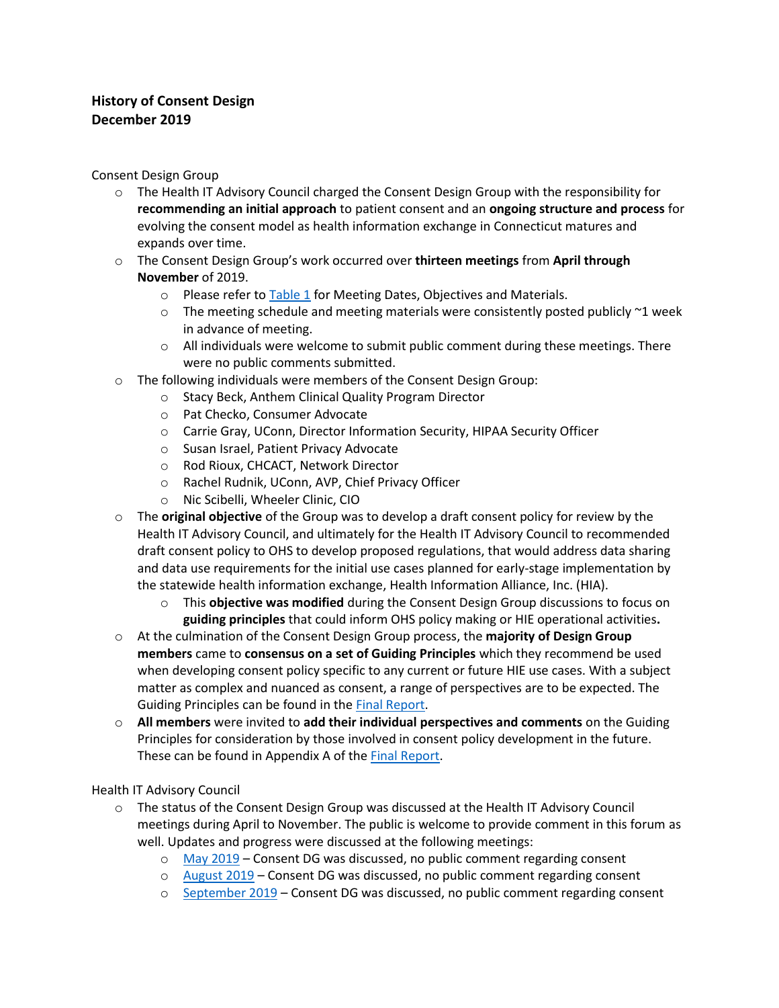## **History of Consent Design December 2019**

Consent Design Group

- o The Health IT Advisory Council charged the Consent Design Group with the responsibility for **recommending an initial approach** to patient consent and an **ongoing structure and process** for evolving the consent model as health information exchange in Connecticut matures and expands over time.
- o The Consent Design Group's work occurred over **thirteen meetings** from **April through November** of 2019.
	- o Please refer t[o Table 1](#page-2-0) for Meeting Dates, Objectives and Materials.
	- $\circ$  The meeting schedule and meeting materials were consistently posted publicly  $\sim$ 1 week in advance of meeting.
	- $\circ$  All individuals were welcome to submit public comment during these meetings. There were no public comments submitted.
- o The following individuals were members of the Consent Design Group:
	- o Stacy Beck, Anthem Clinical Quality Program Director
	- o Pat Checko, Consumer Advocate
	- o Carrie Gray, UConn, Director Information Security, HIPAA Security Officer
	- o Susan Israel, Patient Privacy Advocate
	- o Rod Rioux, CHCACT, Network Director
	- o Rachel Rudnik, UConn, AVP, Chief Privacy Officer
	- o Nic Scibelli, Wheeler Clinic, CIO
- o The **original objective** of the Group was to develop a draft consent policy for review by the Health IT Advisory Council, and ultimately for the Health IT Advisory Council to recommended draft consent policy to OHS to develop proposed regulations, that would address data sharing and data use requirements for the initial use cases planned for early-stage implementation by the statewide health information exchange, Health Information Alliance, Inc. (HIA).
	- o This **objective was modified** during the Consent Design Group discussions to focus on **guiding principles** that could inform OHS policy making or HIE operational activities**.**
- o At the culmination of the Consent Design Group process, the **majority of Design Group members** came to **consensus on a set of Guiding Principles** which they recommend be used when developing consent policy specific to any current or future HIE use cases. With a subject matter as complex and nuanced as consent, a range of perspectives are to be expected. The Guiding Principles can be found in th[e Final Report.](https://portal.ct.gov/-/media/OHS/Health-IT-Advisory-Council/Reports/OHS_Consent_DG_Final_Report.pdf)
- o **All members** were invited to **add their individual perspectives and comments** on the Guiding Principles for consideration by those involved in consent policy development in the future. These can be found in Appendix A of the [Final Report.](https://portal.ct.gov/-/media/OHS/Health-IT-Advisory-Council/Reports/OHS_Consent_DG_Final_Report.pdf)

## Health IT Advisory Council

- o The status of the Consent Design Group was discussed at the Health IT Advisory Council meetings during April to November. The public is welcome to provide comment in this forum as well. Updates and progress were discussed at the following meetings:
	- o [May 2019](https://portal.ct.gov/-/media/OHS/Health-IT-Advisory-Council/Meeting-Minutes/20190516_HealthIT_DRAFT_Minutes.pdf) Consent DG was discussed, no public comment regarding consent
	- o [August 2019](https://portal.ct.gov/-/media/OHS/Health-IT-Advisory-Council/Meeting-Minutes/OHS_HIT_Advisory_Council_Minutes_Draft_20190815_.pdf) Consent DG was discussed, no public comment regarding consent
	- o [September 2019](https://portal.ct.gov/-/media/OHS/Health-IT-Advisory-Council/Meeting-Minutes/OHS_HealthIT_Advisory_Council_Mtg-DRAFT-Minutes_091919.pdf) Consent DG was discussed, no public comment regarding consent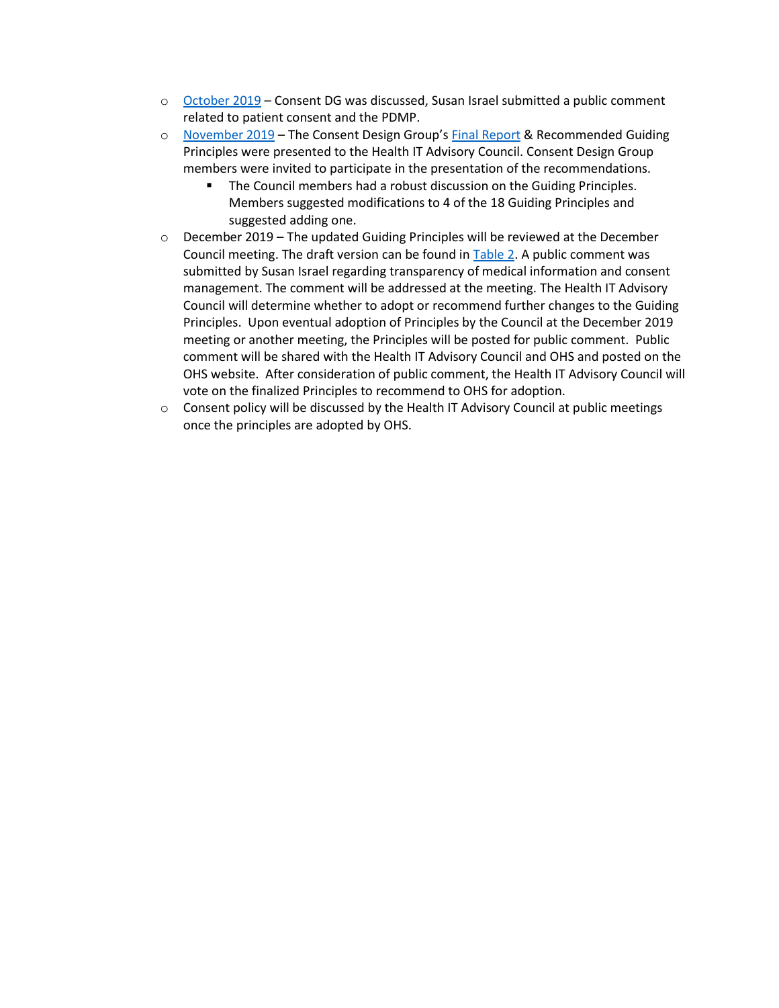- o [October 2019](https://portal.ct.gov/-/media/OHS/Health-IT-Advisory-Council/Meeting-Minutes/OHS_HITAdvisoryCouncil_Draft_Minutes_101719.pdf) Consent DG was discussed, Susan Israel submitted a public comment related to patient consent and the PDMP.
- o [November 2019](https://portal.ct.gov/-/media/OHS/Health-IT-Advisory-Council/Meeting-Minutes/OHS_HIT_AdvisoryCouncil_Mtg_112119_Draft-Minutes.pdf) The Consent Design Group's [Final Report](https://portal.ct.gov/-/media/OHS/Health-IT-Advisory-Council/Reports/OHS_Consent_DG_Final_Report.pdf) & Recommended Guiding Principles were presented to the Health IT Advisory Council. Consent Design Group members were invited to participate in the presentation of the recommendations.
	- The Council members had a robust discussion on the Guiding Principles. Members suggested modifications to 4 of the 18 Guiding Principles and suggested adding one.
- $\circ$  December 2019 The updated Guiding Principles will be reviewed at the December Council meeting. The draft version can be found in [Table 2.](#page-3-0) A public comment was submitted by Susan Israel regarding transparency of medical information and consent management. The comment will be addressed at the meeting. The Health IT Advisory Council will determine whether to adopt or recommend further changes to the Guiding Principles. Upon eventual adoption of Principles by the Council at the December 2019 meeting or another meeting, the Principles will be posted for public comment. Public comment will be shared with the Health IT Advisory Council and OHS and posted on the OHS website. After consideration of public comment, the Health IT Advisory Council will vote on the finalized Principles to recommend to OHS for adoption.
- $\circ$  Consent policy will be discussed by the Health IT Advisory Council at public meetings once the principles are adopted by OHS.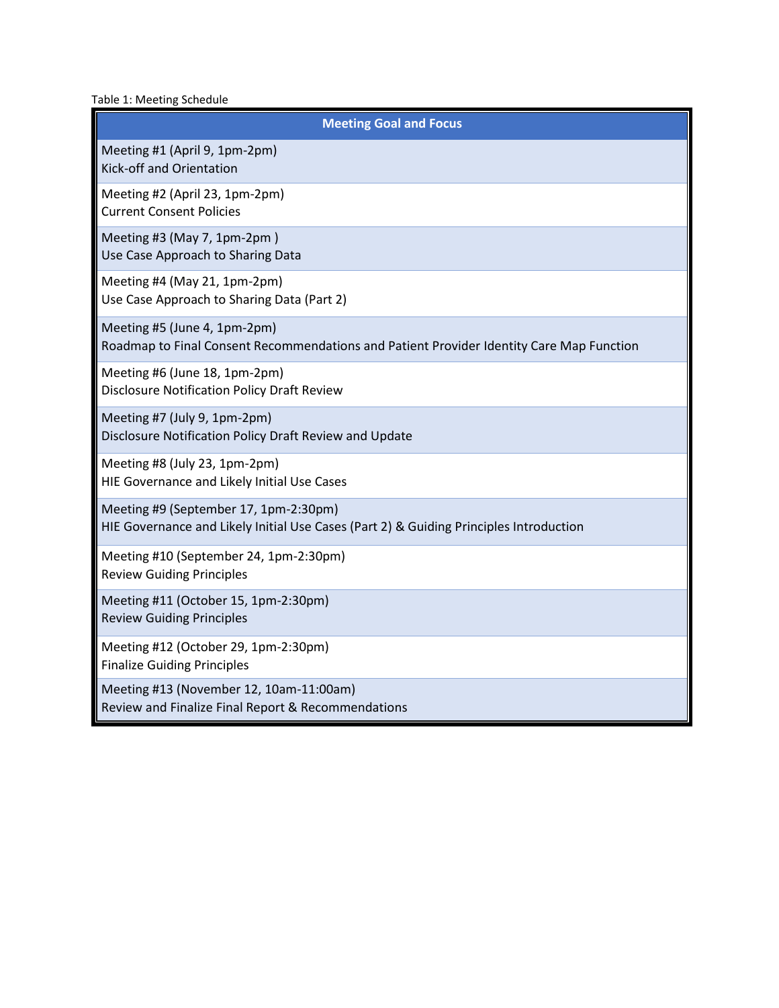<span id="page-2-0"></span>Table 1: Meeting Schedule

| <b>Meeting Goal and Focus</b>                                                                                                   |
|---------------------------------------------------------------------------------------------------------------------------------|
| Meeting #1 (April 9, 1pm-2pm)<br>Kick-off and Orientation                                                                       |
| Meeting #2 (April 23, 1pm-2pm)<br><b>Current Consent Policies</b>                                                               |
| Meeting #3 (May 7, 1pm-2pm)<br>Use Case Approach to Sharing Data                                                                |
| Meeting #4 (May 21, 1pm-2pm)<br>Use Case Approach to Sharing Data (Part 2)                                                      |
| Meeting #5 (June 4, 1pm-2pm)<br>Roadmap to Final Consent Recommendations and Patient Provider Identity Care Map Function        |
| Meeting #6 (June 18, 1pm-2pm)<br><b>Disclosure Notification Policy Draft Review</b>                                             |
| Meeting #7 (July 9, 1pm-2pm)<br>Disclosure Notification Policy Draft Review and Update                                          |
| Meeting #8 (July 23, 1pm-2pm)<br>HIE Governance and Likely Initial Use Cases                                                    |
| Meeting #9 (September 17, 1pm-2:30pm)<br>HIE Governance and Likely Initial Use Cases (Part 2) & Guiding Principles Introduction |
| Meeting #10 (September 24, 1pm-2:30pm)<br><b>Review Guiding Principles</b>                                                      |
| Meeting #11 (October 15, 1pm-2:30pm)<br><b>Review Guiding Principles</b>                                                        |
| Meeting #12 (October 29, 1pm-2:30pm)<br><b>Finalize Guiding Principles</b>                                                      |
| Meeting #13 (November 12, 10am-11:00am)<br>Review and Finalize Final Report & Recommendations                                   |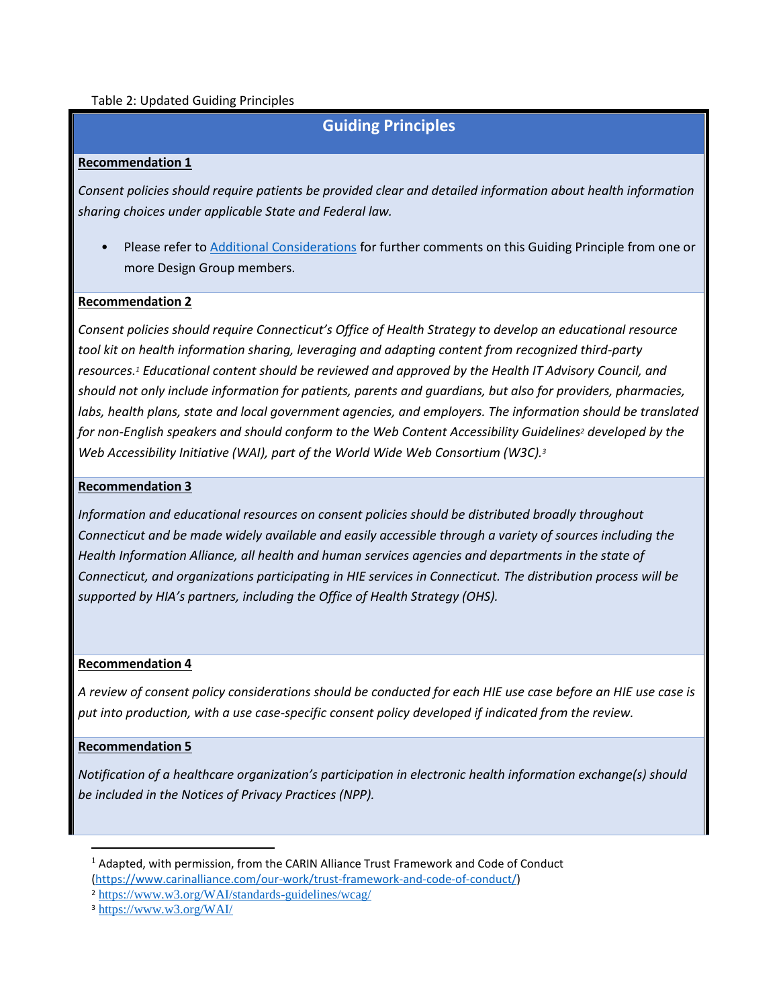## <span id="page-3-0"></span>Table 2: Updated Guiding Principles

# **Guiding Principles**

## **Recommendation 1**

*Consent policies should require patients be provided clear and detailed information about health information sharing choices under applicable State and Federal law.* 

• Please refer to Additional Considerations for further comments on this Guiding Principle from one or more Design Group members.

## **Recommendation 2**

*Consent policies should require Connecticut's Office of Health Strategy to develop an educational resource tool kit on health information sharing, leveraging and adapting content from recognized third-party resources.<sup>1</sup> Educational content should be reviewed and approved by the Health IT Advisory Council, and should not only include information for patients, parents and guardians, but also for providers, pharmacies,*  labs, health plans, state and local government agencies, and employers. The information should be translated *for non-English speakers and should conform to the Web Content Accessibility Guidelines<sup>2</sup> developed by the Web Accessibility Initiative (WAI), part of the World Wide Web Consortium (W3C).<sup>3</sup>*

#### **Recommendation 3**

*Information and educational resources on consent policies should be distributed broadly throughout Connecticut and be made widely available and easily accessible through a variety of sources including the Health Information Alliance, all health and human services agencies and departments in the state of Connecticut, and organizations participating in HIE services in Connecticut. The distribution process will be supported by HIA's partners, including the Office of Health Strategy (OHS).* 

#### **Recommendation 4**

*A review of consent policy considerations should be conducted for each HIE use case before an HIE use case is put into production, with a use case-specific consent policy developed if indicated from the review.*

#### **Recommendation 5**

 $\overline{a}$ 

*Notification of a healthcare organization's participation in electronic health information exchange(s) should be included in the Notices of Privacy Practices (NPP).*

 $<sup>1</sup>$  Adapted, with permission, from the CARIN Alliance Trust Framework and Code of Conduct</sup> [\(https://www.carinalliance.com/our-work/trust-framework-and-code-of-conduct/\)](https://www.carinalliance.com/our-work/trust-framework-and-code-of-conduct/)

<sup>2</sup> <https://www.w3.org/WAI/standards-guidelines/wcag/>

<sup>3</sup> <https://www.w3.org/WAI/>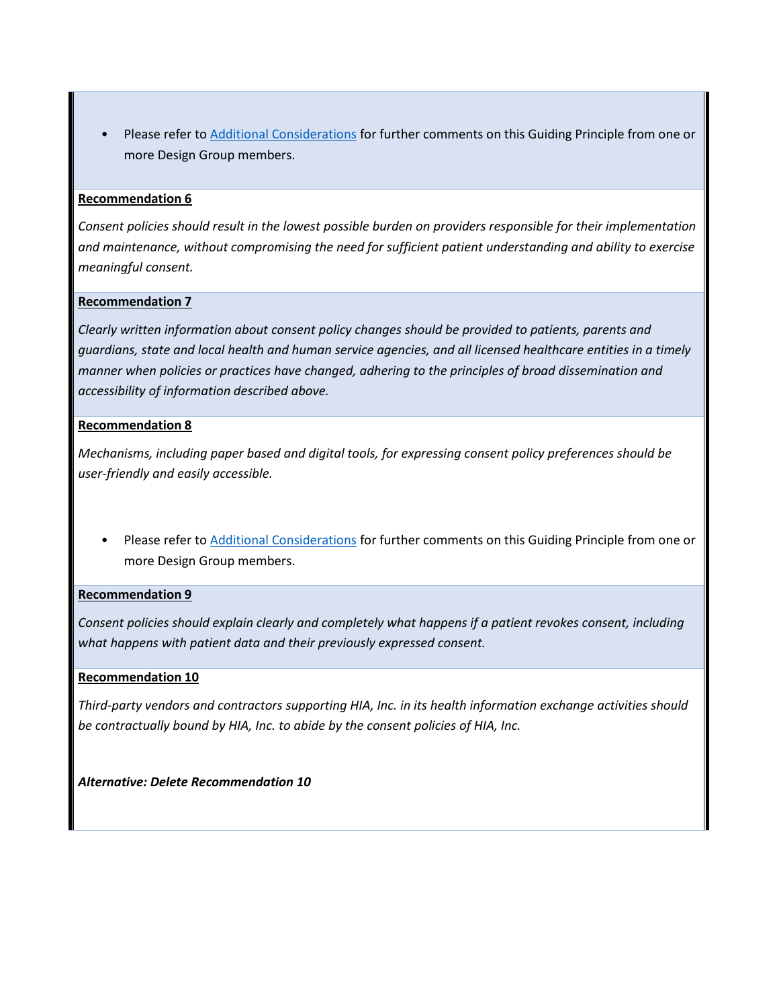• Please refer to Additional Considerations for further comments on this Guiding Principle from one or more Design Group members.

## **Recommendation 6**

*Consent policies should result in the lowest possible burden on providers responsible for their implementation and maintenance, without compromising the need for sufficient patient understanding and ability to exercise meaningful consent.*

## **Recommendation 7**

*Clearly written information about consent policy changes should be provided to patients, parents and guardians, state and local health and human service agencies, and all licensed healthcare entities in a timely manner when policies or practices have changed, adhering to the principles of broad dissemination and accessibility of information described above.*

## **Recommendation 8**

*Mechanisms, including paper based and digital tools, for expressing consent policy preferences should be user-friendly and easily accessible.*

• Please refer to Additional Considerations for further comments on this Guiding Principle from one or more Design Group members.

## **Recommendation 9**

*Consent policies should explain clearly and completely what happens if a patient revokes consent, including what happens with patient data and their previously expressed consent.*

## **Recommendation 10**

*Third-party vendors and contractors supporting HIA, Inc. in its health information exchange activities should be contractually bound by HIA, Inc. to abide by the consent policies of HIA, Inc.* 

*Alternative: Delete Recommendation 10*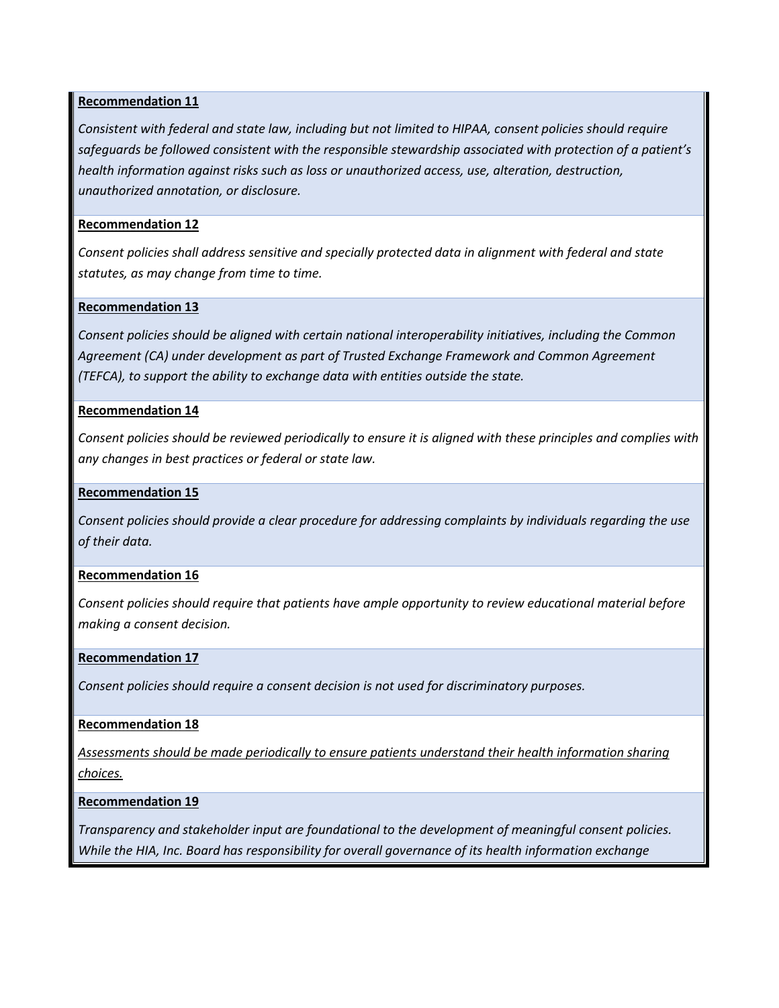## **Recommendation 11**

*Consistent with federal and state law, including but not limited to HIPAA, consent policies should require safeguards be followed consistent with the responsible stewardship associated with protection of a patient's health information against risks such as loss or unauthorized access, use, alteration, destruction, unauthorized annotation, or disclosure.*

## **Recommendation 12**

*Consent policies shall address sensitive and specially protected data in alignment with federal and state statutes, as may change from time to time.*

## **Recommendation 13**

*Consent policies should be aligned with certain national interoperability initiatives, including the Common Agreement (CA) under development as part of Trusted Exchange Framework and Common Agreement (TEFCA), to support the ability to exchange data with entities outside the state.*

## **Recommendation 14**

*Consent policies should be reviewed periodically to ensure it is aligned with these principles and complies with any changes in best practices or federal or state law.*

## **Recommendation 15**

*Consent policies should provide a clear procedure for addressing complaints by individuals regarding the use of their data.*

## **Recommendation 16**

*Consent policies should require that patients have ample opportunity to review educational material before making a consent decision.*

#### **Recommendation 17**

*Consent policies should require a consent decision is not used for discriminatory purposes.*

## **Recommendation 18**

*Assessments should be made periodically to ensure patients understand their health information sharing choices.*

#### **Recommendation 19**

*Transparency and stakeholder input are foundational to the development of meaningful consent policies. While the HIA, Inc. Board has responsibility for overall governance of its health information exchange*